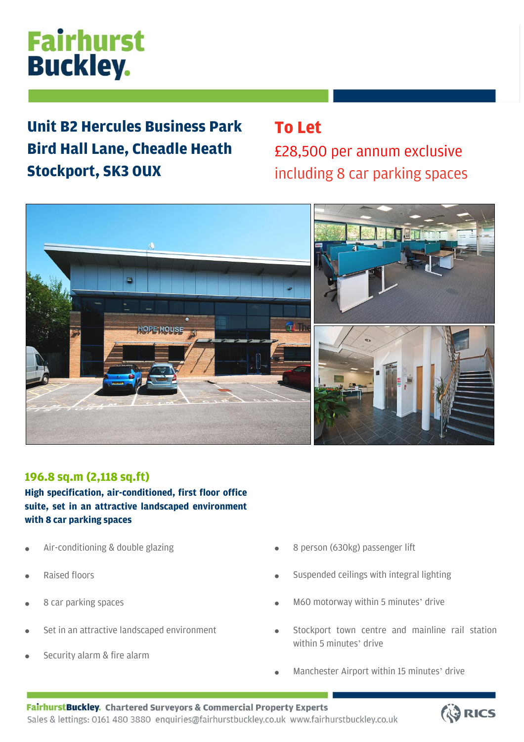# **Fairhurst Buckley.**

**Unit B2 Hercules Business Park Bird Hall Lane, Cheadle Heath Stockport, SK3 0UX**

## **To Let** £28,500 per annum exclusive including 8 car parking spaces



### **196.8 sq.m (2,118 sq.ft)**

**High specification, air-conditioned, first floor office suite, set in an attractive landscaped environment with 8 car parking spaces**

- Air-conditioning & double glazing
- Raised floors
- 8 car parking spaces
- Set in an attractive landscaped environment
- Security alarm & fire alarm
- 8 person (630kg) passenger lift
- Suspended ceilings with integral lighting
- M60 motorway within 5 minutes' drive
- Stockport town centre and mainline rail station within 5 minutes' drive
- Manchester Airport within 15 minutes' drive

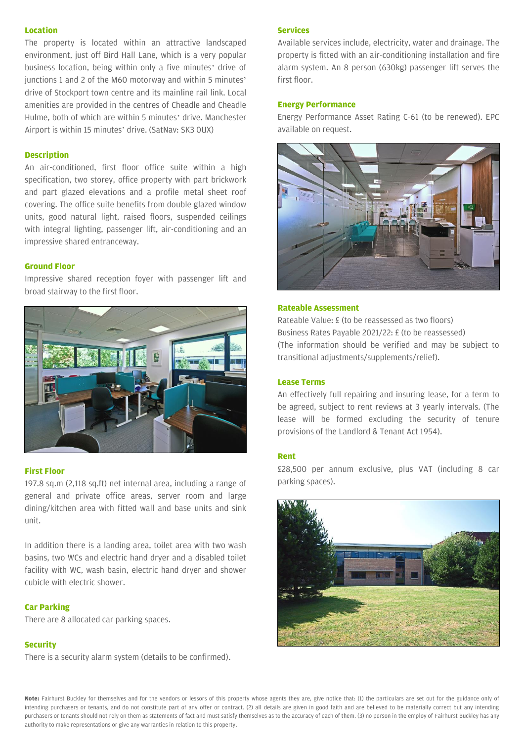#### **Location**

The property is located within an attractive landscaped environment, just off Bird Hall Lane, which is a very popular business location, being within only a five minutes' drive of junctions 1 and 2 of the M60 motorway and within 5 minutes' drive of Stockport town centre and its mainline rail link. Local amenities are provided in the centres of Cheadle and Cheadle Hulme, both of which are within 5 minutes' drive. Manchester Airport is within 15 minutes' drive. (SatNav: SK3 0UX)

#### **Description**

An air-conditioned, first floor office suite within a high specification, two storey, office property with part brickwork and part glazed elevations and a profile metal sheet roof covering. The office suite benefits from double glazed window units, good natural light, raised floors, suspended ceilings with integral lighting, passenger lift, air-conditioning and an impressive shared entranceway.

#### **Ground Floor**

Impressive shared reception foyer with passenger lift and broad stairway to the first floor.



#### **First Floor**

197.8 sq.m (2,118 sq.ft) net internal area, including a range of general and private office areas, server room and large dining/kitchen area with fitted wall and base units and sink unit.

In addition there is a landing area, toilet area with two wash basins, two WCs and electric hand dryer and a disabled toilet facility with WC, wash basin, electric hand dryer and shower cubicle with electric shower.

#### **Car Parking**

There are 8 allocated car parking spaces.

#### **Security**

There is a security alarm system (details to be confirmed).

#### **Services**

Available services include, electricity, water and drainage. The property is fitted with an air-conditioning installation and fire alarm system. An 8 person (630kg) passenger lift serves the first floor.

#### **Energy Performance**

Energy Performance Asset Rating C-61 (to be renewed). EPC available on request.



#### **Rateable Assessment**

Rateable Value: £ (to be reassessed as two floors) Business Rates Payable 2021/22: £ (to be reassessed) (The information should be verified and may be subject to transitional adjustments/supplements/relief).

#### **Lease Terms**

An effectively full repairing and insuring lease, for a term to be agreed, subject to rent reviews at 3 yearly intervals. (The lease will be formed excluding the security of tenure provisions of the Landlord & Tenant Act 1954).

#### **Rent**

£28,500 per annum exclusive, plus VAT (including 8 car parking spaces).



**Note:** Fairhurst Buckley for themselves and for the vendors or lessors of this property whose agents they are, give notice that: (1) the particulars are set out for the guidance only of intending purchasers or tenants, and do not constitute part of any offer or contract. (2) all details are given in good faith and are believed to be materially correct but any intending purchasers or tenants should not rely on them as statements of fact and must satisfy themselves as to the accuracy of each of them. (3) no person in the employ of Fairhurst Buckley has any authority to make representations or give any warranties in relation to this property.